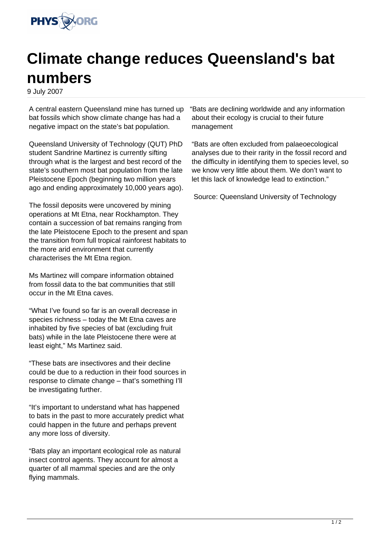

## **Climate change reduces Queensland's bat numbers**

9 July 2007

A central eastern Queensland mine has turned up bat fossils which show climate change has had a negative impact on the state's bat population.

Queensland University of Technology (QUT) PhD student Sandrine Martinez is currently sifting through what is the largest and best record of the state's southern most bat population from the late Pleistocene Epoch (beginning two million years ago and ending approximately 10,000 years ago).

The fossil deposits were uncovered by mining operations at Mt Etna, near Rockhampton. They contain a succession of bat remains ranging from the late Pleistocene Epoch to the present and span the transition from full tropical rainforest habitats to the more arid environment that currently characterises the Mt Etna region.

Ms Martinez will compare information obtained from fossil data to the bat communities that still occur in the Mt Etna caves.

"What I've found so far is an overall decrease in species richness – today the Mt Etna caves are inhabited by five species of bat (excluding fruit bats) while in the late Pleistocene there were at least eight," Ms Martinez said.

"These bats are insectivores and their decline could be due to a reduction in their food sources in response to climate change – that's something I'll be investigating further.

"It's important to understand what has happened to bats in the past to more accurately predict what could happen in the future and perhaps prevent any more loss of diversity.

"Bats play an important ecological role as natural insect control agents. They account for almost a quarter of all mammal species and are the only flying mammals.

"Bats are declining worldwide and any information about their ecology is crucial to their future management

"Bats are often excluded from palaeoecological analyses due to their rarity in the fossil record and the difficulty in identifying them to species level, so we know very little about them. We don't want to let this lack of knowledge lead to extinction."

Source: Queensland University of Technology